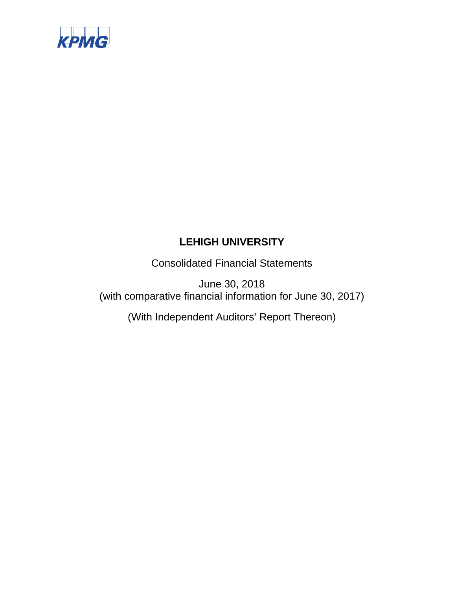

Consolidated Financial Statements

June 30, 2018 (with comparative financial information for June 30, 2017)

(With Independent Auditors' Report Thereon)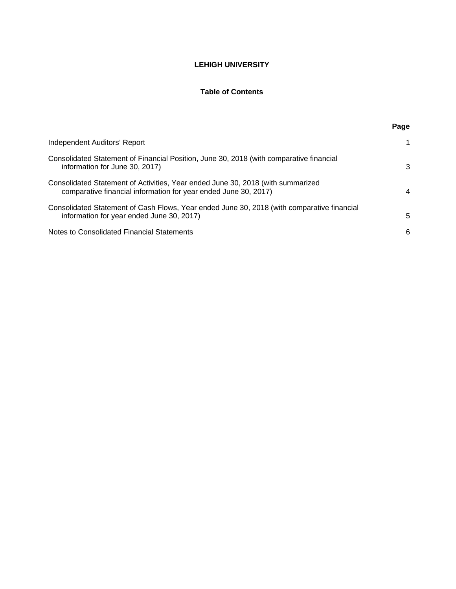### **Table of Contents**

|                                                                                                                                                    | Page           |
|----------------------------------------------------------------------------------------------------------------------------------------------------|----------------|
| Independent Auditors' Report                                                                                                                       | 1.             |
| Consolidated Statement of Financial Position, June 30, 2018 (with comparative financial<br>information for June 30, 2017)                          | 3              |
| Consolidated Statement of Activities, Year ended June 30, 2018 (with summarized<br>comparative financial information for year ended June 30, 2017) | $\overline{4}$ |
| Consolidated Statement of Cash Flows, Year ended June 30, 2018 (with comparative financial<br>information for year ended June 30, 2017)            | 5              |
| Notes to Consolidated Financial Statements                                                                                                         | 6              |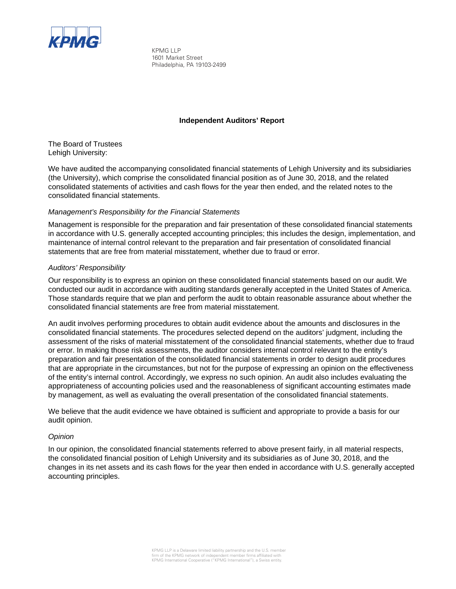

KPMG LLP 1601 Market Street Philadelphia, PA 19103-2499

### **Independent Auditors' Report**

The Board of Trustees Lehigh University:

We have audited the accompanying consolidated financial statements of Lehigh University and its subsidiaries (the University), which comprise the consolidated financial position as of June 30, 2018, and the related consolidated statements of activities and cash flows for the year then ended, and the related notes to the consolidated financial statements.

### *Management's Responsibility for the Financial Statements*

Management is responsible for the preparation and fair presentation of these consolidated financial statements in accordance with U.S. generally accepted accounting principles; this includes the design, implementation, and maintenance of internal control relevant to the preparation and fair presentation of consolidated financial statements that are free from material misstatement, whether due to fraud or error.

### *Auditors' Responsibility*

Our responsibility is to express an opinion on these consolidated financial statements based on our audit. We conducted our audit in accordance with auditing standards generally accepted in the United States of America. Those standards require that we plan and perform the audit to obtain reasonable assurance about whether the consolidated financial statements are free from material misstatement.

An audit involves performing procedures to obtain audit evidence about the amounts and disclosures in the consolidated financial statements. The procedures selected depend on the auditors' judgment, including the assessment of the risks of material misstatement of the consolidated financial statements, whether due to fraud or error. In making those risk assessments, the auditor considers internal control relevant to the entity's preparation and fair presentation of the consolidated financial statements in order to design audit procedures that are appropriate in the circumstances, but not for the purpose of expressing an opinion on the effectiveness of the entity's internal control. Accordingly, we express no such opinion. An audit also includes evaluating the appropriateness of accounting policies used and the reasonableness of significant accounting estimates made by management, as well as evaluating the overall presentation of the consolidated financial statements.

We believe that the audit evidence we have obtained is sufficient and appropriate to provide a basis for our audit opinion.

### *Opinion*

In our opinion, the consolidated financial statements referred to above present fairly, in all material respects, the consolidated financial position of Lehigh University and its subsidiaries as of June 30, 2018, and the changes in its net assets and its cash flows for the year then ended in accordance with U.S. generally accepted accounting principles.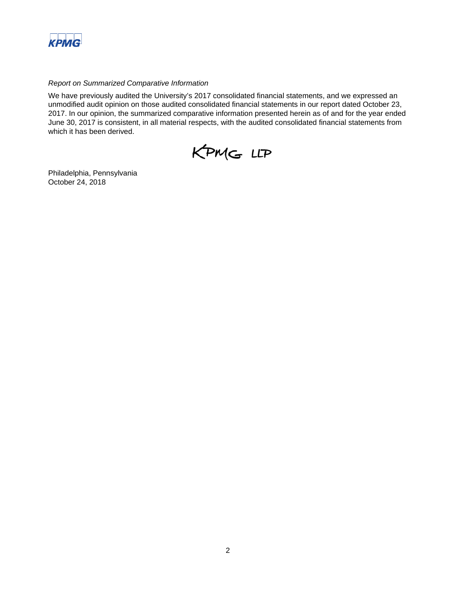

### *Report on Summarized Comparative Information*

We have previously audited the University's 2017 consolidated financial statements, and we expressed an unmodified audit opinion on those audited consolidated financial statements in our report dated October 23, 2017. In our opinion, the summarized comparative information presented herein as of and for the year ended June 30, 2017 is consistent, in all material respects, with the audited consolidated financial statements from which it has been derived.



Philadelphia, Pennsylvania October 24, 2018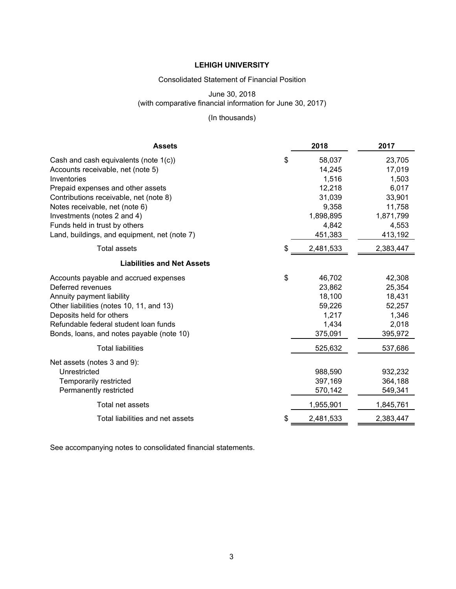### Consolidated Statement of Financial Position

June 30, 2018

(with comparative financial information for June 30, 2017)

## (In thousands)

| <b>Assets</b>                                | 2018            | 2017      |
|----------------------------------------------|-----------------|-----------|
| Cash and cash equivalents (note 1(c))        | \$<br>58,037    | 23,705    |
| Accounts receivable, net (note 5)            | 14,245          | 17,019    |
| Inventories                                  | 1,516           | 1,503     |
| Prepaid expenses and other assets            | 12,218          | 6,017     |
| Contributions receivable, net (note 8)       | 31,039          | 33,901    |
| Notes receivable, net (note 6)               | 9,358           | 11,758    |
| Investments (notes 2 and 4)                  | 1,898,895       | 1,871,799 |
| Funds held in trust by others                | 4,842           | 4,553     |
| Land, buildings, and equipment, net (note 7) | 451,383         | 413,192   |
| <b>Total assets</b>                          | \$<br>2,481,533 | 2,383,447 |
| <b>Liabilities and Net Assets</b>            |                 |           |
| Accounts payable and accrued expenses        | \$<br>46,702    | 42,308    |
| Deferred revenues                            | 23,862          | 25,354    |
| Annuity payment liability                    | 18,100          | 18,431    |
| Other liabilities (notes 10, 11, and 13)     | 59,226          | 52,257    |
| Deposits held for others                     | 1,217           | 1,346     |
| Refundable federal student loan funds        | 1,434           | 2,018     |
| Bonds, loans, and notes payable (note 10)    | 375,091         | 395,972   |
| <b>Total liabilities</b>                     | 525,632         | 537,686   |
| Net assets (notes 3 and 9):                  |                 |           |
| Unrestricted                                 | 988,590         | 932,232   |
| Temporarily restricted                       | 397,169         | 364,188   |
| Permanently restricted                       | 570,142         | 549,341   |
| Total net assets                             | 1,955,901       | 1,845,761 |
| Total liabilities and net assets             | \$<br>2,481,533 | 2,383,447 |

See accompanying notes to consolidated financial statements.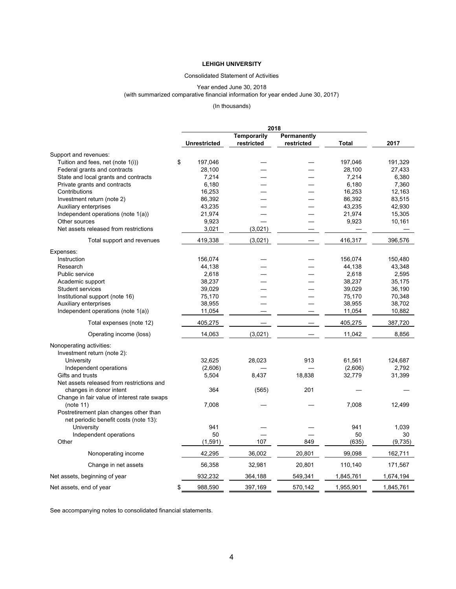#### Consolidated Statement of Activities

## Year ended June 30, 2018

(with summarized comparative financial information for year ended June 30, 2017)

### (In thousands)

|                                             |                     |                    | 2018        |              |           |
|---------------------------------------------|---------------------|--------------------|-------------|--------------|-----------|
|                                             |                     | <b>Temporarily</b> | Permanently |              |           |
|                                             | <b>Unrestricted</b> | restricted         | restricted  | <b>Total</b> | 2017      |
| Support and revenues:                       |                     |                    |             |              |           |
| Tuition and fees, net (note 1(i))           | \$<br>197,046       |                    |             | 197,046      | 191,329   |
| Federal grants and contracts                | 28,100              |                    |             | 28,100       | 27,433    |
| State and local grants and contracts        | 7,214               |                    |             | 7,214        | 6,380     |
| Private grants and contracts                | 6,180               |                    |             | 6,180        | 7,360     |
| Contributions                               | 16,253              |                    |             | 16,253       | 12,163    |
| Investment return (note 2)                  | 86,392              |                    |             | 86,392       | 83,515    |
| Auxiliary enterprises                       | 43,235              |                    |             | 43,235       | 42,930    |
| Independent operations (note 1(a))          | 21,974              |                    |             | 21,974       | 15,305    |
| Other sources                               | 9,923               |                    |             | 9,923        | 10,161    |
| Net assets released from restrictions       | 3,021               | (3,021)            |             |              |           |
| Total support and revenues                  | 419,338             | (3,021)            |             | 416,317      | 396,576   |
| Expenses:                                   |                     |                    |             |              |           |
| Instruction                                 | 156,074             |                    |             | 156,074      | 150,480   |
| Research                                    | 44,138              |                    |             | 44,138       | 43,348    |
| Public service                              | 2,618               |                    |             | 2,618        | 2,595     |
| Academic support                            | 38,237              |                    |             | 38,237       | 35,175    |
| <b>Student services</b>                     | 39,029              |                    |             | 39,029       | 36,190    |
| Institutional support (note 16)             | 75,170              |                    |             | 75,170       | 70,348    |
| Auxiliary enterprises                       | 38,955              |                    |             | 38,955       | 38,702    |
| Independent operations (note 1(a))          | 11,054              |                    |             | 11,054       | 10,882    |
| Total expenses (note 12)                    | 405,275             |                    |             | 405,275      | 387,720   |
| Operating income (loss)                     | 14,063              | (3,021)            |             | 11,042       | 8,856     |
| Nonoperating activities:                    |                     |                    |             |              |           |
| Investment return (note 2):                 |                     |                    |             |              |           |
| University                                  | 32,625              | 28,023             | 913         | 61,561       | 124,687   |
| Independent operations                      | (2,606)             |                    |             | (2,606)      | 2,792     |
| Gifts and trusts                            | 5,504               | 8,437              | 18,838      | 32,779       | 31,399    |
| Net assets released from restrictions and   |                     |                    |             |              |           |
| changes in donor intent                     | 364                 | (565)              | 201         |              |           |
| Change in fair value of interest rate swaps |                     |                    |             |              |           |
| (note 11)                                   | 7,008               |                    |             | 7,008        | 12,499    |
| Postretirement plan changes other than      |                     |                    |             |              |           |
| net periodic benefit costs (note 13):       |                     |                    |             |              |           |
| University                                  | 941                 |                    |             | 941          | 1,039     |
| Independent operations                      | 50                  |                    |             | 50           | 30        |
| Other                                       | (1,591)             | 107                | 849         | (635)        | (9,735)   |
| Nonoperating income                         | 42,295              | 36,002             | 20,801      | 99,098       | 162,711   |
| Change in net assets                        | 56,358              | 32,981             | 20,801      | 110,140      | 171,567   |
| Net assets, beginning of year               | 932,232             | 364,188            | 549,341     | 1,845,761    | 1,674,194 |
| Net assets, end of year                     | \$<br>988,590       | 397,169            | 570,142     | 1,955,901    | 1,845,761 |

See accompanying notes to consolidated financial statements.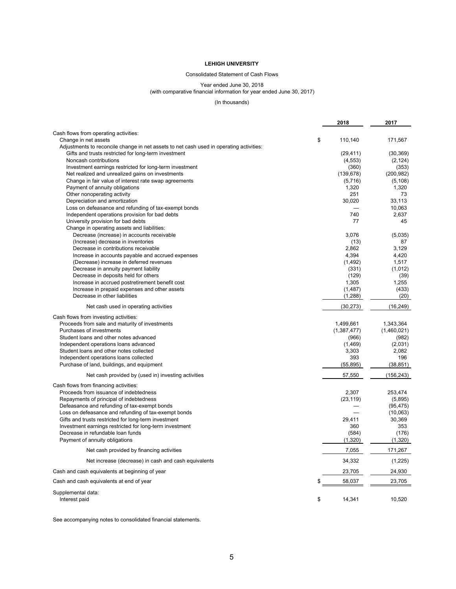#### Consolidated Statement of Cash Flows

#### Year ended June 30, 2018

#### (with comparative financial information for year ended June 30, 2017)

#### (In thousands)

|                                                                                                  | 2018                | 2017           |
|--------------------------------------------------------------------------------------------------|---------------------|----------------|
| Cash flows from operating activities:                                                            |                     |                |
| Change in net assets                                                                             | \$<br>110,140       | 171,567        |
| Adjustments to reconcile change in net assets to net cash used in operating activities:          |                     |                |
| Gifts and trusts restricted for long-term investment                                             | (29, 411)           | (30, 369)      |
| Noncash contributions                                                                            | (4, 553)            | (2, 124)       |
| Investment earnings restricted for long-term investment                                          | (360)               | (353)          |
| Net realized and unrealized gains on investments                                                 | (139, 678)          | (200, 982)     |
| Change in fair value of interest rate swap agreements                                            | (5,716)             | (5, 108)       |
| Payment of annuity obligations                                                                   | 1,320               | 1.320          |
| Other nonoperating activity                                                                      | 251                 | 73             |
| Depreciation and amortization                                                                    | 30,020              | 33,113         |
| Loss on defeasance and refunding of tax-exempt bonds                                             |                     | 10,063         |
| Independent operations provision for bad debts                                                   | 740                 | 2,637          |
| University provision for bad debts                                                               | 77                  | 45             |
| Change in operating assets and liabilities:                                                      |                     |                |
| Decrease (increase) in accounts receivable                                                       | 3,076               | (5,035)        |
| (Increase) decrease in inventories                                                               | (13)                | 87             |
| Decrease in contributions receivable                                                             | 2,862               | 3,129          |
| Increase in accounts payable and accrued expenses                                                | 4,394               | 4,420          |
| (Decrease) increase in deferred revenues                                                         | (1, 492)            | 1,517          |
| Decrease in annuity payment liability<br>Decrease in deposits held for others                    | (331)<br>(129)      | (1,012)        |
|                                                                                                  | 1,305               | (39)           |
| Increase in accrued postretirement benefit cost<br>Increase in prepaid expenses and other assets |                     | 1,255<br>(433) |
| Decrease in other liabilities                                                                    | (1, 487)<br>(1,288) | (20)           |
|                                                                                                  |                     |                |
| Net cash used in operating activities                                                            | (30, 273)           | (16, 249)      |
| Cash flows from investing activities:                                                            |                     |                |
| Proceeds from sale and maturity of investments                                                   | 1,499,661           | 1,343,364      |
| Purchases of investments                                                                         | (1,387,477)         | (1,460,021)    |
| Student loans and other notes advanced                                                           | (966)               | (982)          |
| Independent operations loans advanced                                                            | (1,469)             | (2,031)        |
| Student loans and other notes collected                                                          | 3,303               | 2,082          |
| Independent operations loans collected                                                           | 393                 | 196            |
| Purchase of land, buildings, and equipment                                                       | (55, 895)           | (38, 851)      |
| Net cash provided by (used in) investing activities                                              | 57,550              | (156, 243)     |
| Cash flows from financing activities:                                                            |                     |                |
| Proceeds from issuance of indebtedness                                                           | 2,307               | 253,474        |
| Repayments of principal of indebtedness                                                          | (23, 119)           | (5,895)        |
| Defeasance and refunding of tax-exempt bonds                                                     |                     | (95, 475)      |
| Loss on defeasance and refunding of tax-exempt bonds                                             |                     | (10,063)       |
| Gifts and trusts restricted for long-term investment                                             | 29,411              | 30,369         |
| Investment earnings restricted for long-term investment                                          | 360                 | 353            |
| Decrease in refundable loan funds                                                                | (584)               | (176)          |
| Payment of annuity obligations                                                                   | (1,320)             | (1,320)        |
| Net cash provided by financing activities                                                        | 7,055               | 171,267        |
| Net increase (decrease) in cash and cash equivalents                                             | 34,332              | (1,225)        |
| Cash and cash equivalents at beginning of year                                                   | 23,705              | 24,930         |
| Cash and cash equivalents at end of year                                                         | \$<br>58,037        | 23,705         |
| Supplemental data:<br>Interest paid                                                              | \$<br>14,341        | 10,520         |

See accompanying notes to consolidated financial statements.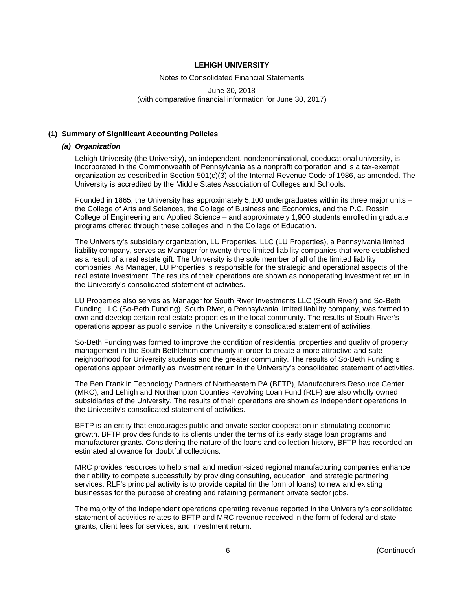Notes to Consolidated Financial Statements

June 30, 2018 (with comparative financial information for June 30, 2017)

#### **(1) Summary of Significant Accounting Policies**

#### *(a) Organization*

Lehigh University (the University), an independent, nondenominational, coeducational university, is incorporated in the Commonwealth of Pennsylvania as a nonprofit corporation and is a tax-exempt organization as described in Section 501(c)(3) of the Internal Revenue Code of 1986, as amended. The University is accredited by the Middle States Association of Colleges and Schools.

Founded in 1865, the University has approximately 5,100 undergraduates within its three major units – the College of Arts and Sciences, the College of Business and Economics, and the P.C. Rossin College of Engineering and Applied Science – and approximately 1,900 students enrolled in graduate programs offered through these colleges and in the College of Education.

The University's subsidiary organization, LU Properties, LLC (LU Properties), a Pennsylvania limited liability company, serves as Manager for twenty-three limited liability companies that were established as a result of a real estate gift. The University is the sole member of all of the limited liability companies. As Manager, LU Properties is responsible for the strategic and operational aspects of the real estate investment. The results of their operations are shown as nonoperating investment return in the University's consolidated statement of activities.

LU Properties also serves as Manager for South River Investments LLC (South River) and So-Beth Funding LLC (So-Beth Funding). South River, a Pennsylvania limited liability company, was formed to own and develop certain real estate properties in the local community. The results of South River's operations appear as public service in the University's consolidated statement of activities.

So-Beth Funding was formed to improve the condition of residential properties and quality of property management in the South Bethlehem community in order to create a more attractive and safe neighborhood for University students and the greater community. The results of So-Beth Funding's operations appear primarily as investment return in the University's consolidated statement of activities.

The Ben Franklin Technology Partners of Northeastern PA (BFTP), Manufacturers Resource Center (MRC), and Lehigh and Northampton Counties Revolving Loan Fund (RLF) are also wholly owned subsidiaries of the University. The results of their operations are shown as independent operations in the University's consolidated statement of activities.

BFTP is an entity that encourages public and private sector cooperation in stimulating economic growth. BFTP provides funds to its clients under the terms of its early stage loan programs and manufacturer grants. Considering the nature of the loans and collection history, BFTP has recorded an estimated allowance for doubtful collections.

MRC provides resources to help small and medium-sized regional manufacturing companies enhance their ability to compete successfully by providing consulting, education, and strategic partnering services. RLF's principal activity is to provide capital (in the form of loans) to new and existing businesses for the purpose of creating and retaining permanent private sector jobs.

The majority of the independent operations operating revenue reported in the University's consolidated statement of activities relates to BFTP and MRC revenue received in the form of federal and state grants, client fees for services, and investment return.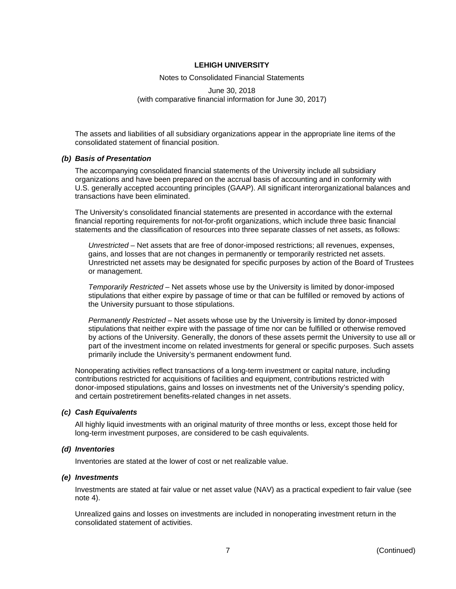Notes to Consolidated Financial Statements

June 30, 2018 (with comparative financial information for June 30, 2017)

The assets and liabilities of all subsidiary organizations appear in the appropriate line items of the consolidated statement of financial position.

#### *(b) Basis of Presentation*

The accompanying consolidated financial statements of the University include all subsidiary organizations and have been prepared on the accrual basis of accounting and in conformity with U.S. generally accepted accounting principles (GAAP). All significant interorganizational balances and transactions have been eliminated.

The University's consolidated financial statements are presented in accordance with the external financial reporting requirements for not-for-profit organizations, which include three basic financial statements and the classification of resources into three separate classes of net assets, as follows:

*Unrestricted* – Net assets that are free of donor-imposed restrictions; all revenues, expenses, gains, and losses that are not changes in permanently or temporarily restricted net assets. Unrestricted net assets may be designated for specific purposes by action of the Board of Trustees or management.

*Temporarily Restricted* – Net assets whose use by the University is limited by donor-imposed stipulations that either expire by passage of time or that can be fulfilled or removed by actions of the University pursuant to those stipulations.

*Permanently Restricted* – Net assets whose use by the University is limited by donor-imposed stipulations that neither expire with the passage of time nor can be fulfilled or otherwise removed by actions of the University. Generally, the donors of these assets permit the University to use all or part of the investment income on related investments for general or specific purposes. Such assets primarily include the University's permanent endowment fund.

Nonoperating activities reflect transactions of a long-term investment or capital nature, including contributions restricted for acquisitions of facilities and equipment, contributions restricted with donor-imposed stipulations, gains and losses on investments net of the University's spending policy, and certain postretirement benefits-related changes in net assets.

#### *(c) Cash Equivalents*

All highly liquid investments with an original maturity of three months or less, except those held for long-term investment purposes, are considered to be cash equivalents.

#### *(d) Inventories*

Inventories are stated at the lower of cost or net realizable value.

#### *(e) Investments*

Investments are stated at fair value or net asset value (NAV) as a practical expedient to fair value (see note 4).

Unrealized gains and losses on investments are included in nonoperating investment return in the consolidated statement of activities.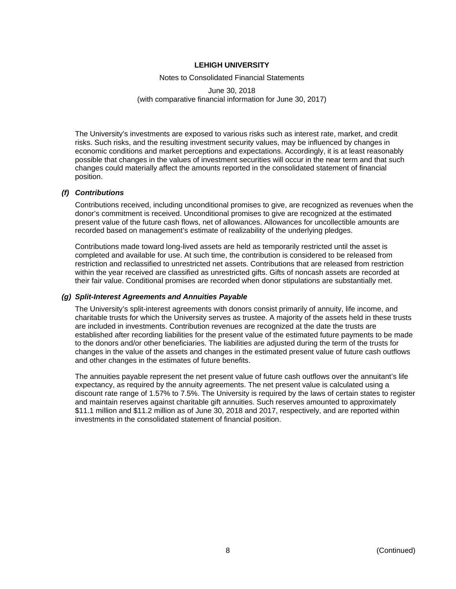#### Notes to Consolidated Financial Statements

### June 30, 2018 (with comparative financial information for June 30, 2017)

The University's investments are exposed to various risks such as interest rate, market, and credit risks. Such risks, and the resulting investment security values, may be influenced by changes in economic conditions and market perceptions and expectations. Accordingly, it is at least reasonably possible that changes in the values of investment securities will occur in the near term and that such changes could materially affect the amounts reported in the consolidated statement of financial position.

#### *(f) Contributions*

Contributions received, including unconditional promises to give, are recognized as revenues when the donor's commitment is received. Unconditional promises to give are recognized at the estimated present value of the future cash flows, net of allowances. Allowances for uncollectible amounts are recorded based on management's estimate of realizability of the underlying pledges.

Contributions made toward long-lived assets are held as temporarily restricted until the asset is completed and available for use. At such time, the contribution is considered to be released from restriction and reclassified to unrestricted net assets. Contributions that are released from restriction within the year received are classified as unrestricted gifts. Gifts of noncash assets are recorded at their fair value. Conditional promises are recorded when donor stipulations are substantially met.

#### *(g) Split-Interest Agreements and Annuities Payable*

The University's split-interest agreements with donors consist primarily of annuity, life income, and charitable trusts for which the University serves as trustee. A majority of the assets held in these trusts are included in investments. Contribution revenues are recognized at the date the trusts are established after recording liabilities for the present value of the estimated future payments to be made to the donors and/or other beneficiaries. The liabilities are adjusted during the term of the trusts for changes in the value of the assets and changes in the estimated present value of future cash outflows and other changes in the estimates of future benefits.

The annuities payable represent the net present value of future cash outflows over the annuitant's life expectancy, as required by the annuity agreements. The net present value is calculated using a discount rate range of 1.57% to 7.5%. The University is required by the laws of certain states to register and maintain reserves against charitable gift annuities. Such reserves amounted to approximately \$11.1 million and \$11.2 million as of June 30, 2018 and 2017, respectively, and are reported within investments in the consolidated statement of financial position.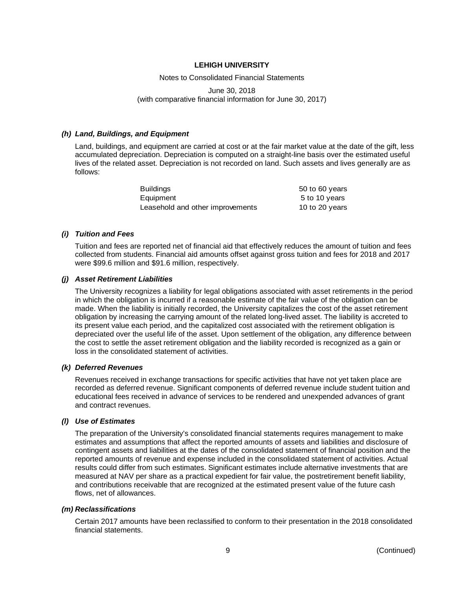Notes to Consolidated Financial Statements

June 30, 2018 (with comparative financial information for June 30, 2017)

### *(h) Land, Buildings, and Equipment*

Land, buildings, and equipment are carried at cost or at the fair market value at the date of the gift, less accumulated depreciation. Depreciation is computed on a straight-line basis over the estimated useful lives of the related asset. Depreciation is not recorded on land. Such assets and lives generally are as follows:

> Buildings 50 to 60 years Equipment 5 to 10 years Leasehold and other improvements 10 to 20 years

### *(i) Tuition and Fees*

Tuition and fees are reported net of financial aid that effectively reduces the amount of tuition and fees collected from students. Financial aid amounts offset against gross tuition and fees for 2018 and 2017 were \$99.6 million and \$91.6 million, respectively.

### *(j) Asset Retirement Liabilities*

The University recognizes a liability for legal obligations associated with asset retirements in the period in which the obligation is incurred if a reasonable estimate of the fair value of the obligation can be made. When the liability is initially recorded, the University capitalizes the cost of the asset retirement obligation by increasing the carrying amount of the related long-lived asset. The liability is accreted to its present value each period, and the capitalized cost associated with the retirement obligation is depreciated over the useful life of the asset. Upon settlement of the obligation, any difference between the cost to settle the asset retirement obligation and the liability recorded is recognized as a gain or loss in the consolidated statement of activities.

### *(k) Deferred Revenues*

Revenues received in exchange transactions for specific activities that have not yet taken place are recorded as deferred revenue. Significant components of deferred revenue include student tuition and educational fees received in advance of services to be rendered and unexpended advances of grant and contract revenues.

### *(l) Use of Estimates*

The preparation of the University's consolidated financial statements requires management to make estimates and assumptions that affect the reported amounts of assets and liabilities and disclosure of contingent assets and liabilities at the dates of the consolidated statement of financial position and the reported amounts of revenue and expense included in the consolidated statement of activities. Actual results could differ from such estimates. Significant estimates include alternative investments that are measured at NAV per share as a practical expedient for fair value, the postretirement benefit liability, and contributions receivable that are recognized at the estimated present value of the future cash flows, net of allowances.

### *(m) Reclassifications*

Certain 2017 amounts have been reclassified to conform to their presentation in the 2018 consolidated financial statements.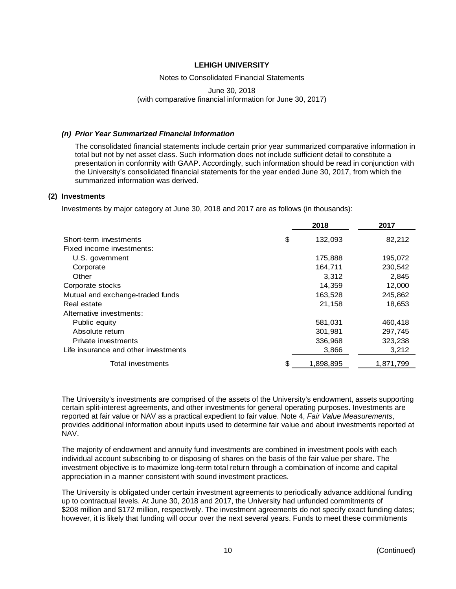Notes to Consolidated Financial Statements

June 30, 2018 (with comparative financial information for June 30, 2017)

#### *(n) Prior Year Summarized Financial Information*

The consolidated financial statements include certain prior year summarized comparative information in total but not by net asset class. Such information does not include sufficient detail to constitute a presentation in conformity with GAAP. Accordingly, such information should be read in conjunction with the University's consolidated financial statements for the year ended June 30, 2017, from which the summarized information was derived.

### **(2) Investments**

Investments by major category at June 30, 2018 and 2017 are as follows (in thousands):

|                                      |    | 2018      | 2017      |
|--------------------------------------|----|-----------|-----------|
| Short-term investments               | \$ | 132,093   | 82,212    |
| Fixed income investments:            |    |           |           |
| U.S. government                      |    | 175,888   | 195,072   |
| Corporate                            |    | 164,711   | 230,542   |
| Other                                |    | 3,312     | 2,845     |
| Corporate stocks                     |    | 14,359    | 12,000    |
| Mutual and exchange-traded funds     |    | 163,528   | 245,862   |
| Real estate                          |    | 21,158    | 18,653    |
| Alternative investments:             |    |           |           |
| Public equity                        |    | 581,031   | 460,418   |
| Absolute return                      |    | 301,981   | 297,745   |
| Private investments                  |    | 336,968   | 323,238   |
| Life insurance and other investments |    | 3,866     | 3,212     |
| <b>Total investments</b>             | S  | 1,898,895 | 1,871,799 |

The University's investments are comprised of the assets of the University's endowment, assets supporting certain split-interest agreements, and other investments for general operating purposes. Investments are reported at fair value or NAV as a practical expedient to fair value. Note 4, *Fair Value Measurements*, provides additional information about inputs used to determine fair value and about investments reported at NAV.

The majority of endowment and annuity fund investments are combined in investment pools with each individual account subscribing to or disposing of shares on the basis of the fair value per share. The investment objective is to maximize long-term total return through a combination of income and capital appreciation in a manner consistent with sound investment practices.

The University is obligated under certain investment agreements to periodically advance additional funding up to contractual levels. At June 30, 2018 and 2017, the University had unfunded commitments of \$208 million and \$172 million, respectively. The investment agreements do not specify exact funding dates; however, it is likely that funding will occur over the next several years. Funds to meet these commitments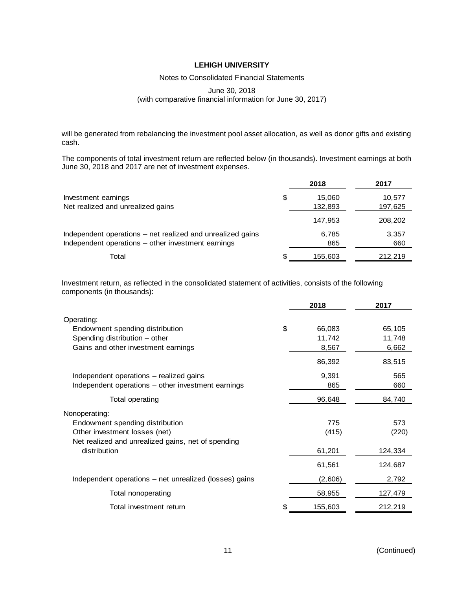### Notes to Consolidated Financial Statements

### June 30, 2018 (with comparative financial information for June 30, 2017)

will be generated from rebalancing the investment pool asset allocation, as well as donor gifts and existing cash.

The components of total investment return are reflected below (in thousands). Investment earnings at both June 30, 2018 and 2017 are net of investment expenses.

|                                                            | 2018         | 2017    |
|------------------------------------------------------------|--------------|---------|
| Investment earnings                                        | \$<br>15.060 | 10,577  |
| Net realized and unrealized gains                          | 132,893      | 197,625 |
|                                                            | 147,953      | 208,202 |
| Independent operations - net realized and unrealized gains | 6,785        | 3,357   |
| Independent operations - other investment earnings         | 865          | 660     |
| Total                                                      | 155,603      | 212,219 |

Investment return, as reflected in the consolidated statement of activities, consists of the following components (in thousands):

|                                                        | 2018         | 2017    |
|--------------------------------------------------------|--------------|---------|
| Operating:                                             |              |         |
| Endowment spending distribution                        | \$<br>66,083 | 65,105  |
| Spending distribution - other                          | 11,742       | 11,748  |
| Gains and other investment earnings                    | 8,567        | 6,662   |
|                                                        | 86,392       | 83,515  |
| Independent operations - realized gains                | 9,391        | 565     |
| Independent operations - other investment earnings     | 865          | 660     |
| <b>Total operating</b>                                 | 96,648       | 84,740  |
| Nonoperating:                                          |              |         |
| Endowment spending distribution                        | 775          | 573     |
| Other investment losses (net)                          | (415)        | (220)   |
| Net realized and unrealized gains, net of spending     |              |         |
| distribution                                           | 61,201       | 124,334 |
|                                                        | 61,561       | 124,687 |
| Independent operations - net unrealized (losses) gains | (2,606)      | 2,792   |
| Total nonoperating                                     | 58,955       | 127,479 |
| Total investment return                                | 155,603      | 212,219 |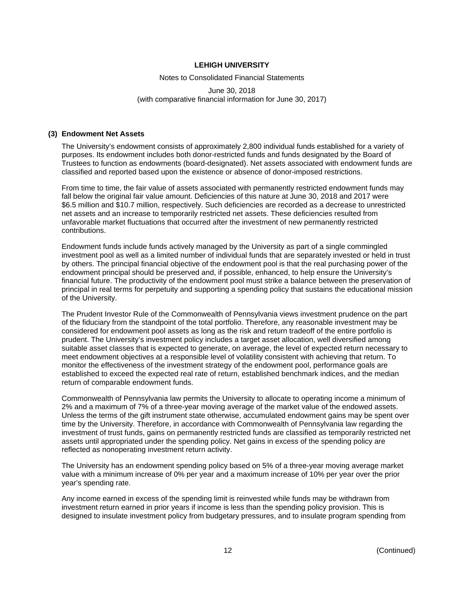Notes to Consolidated Financial Statements

June 30, 2018 (with comparative financial information for June 30, 2017)

#### **(3) Endowment Net Assets**

The University's endowment consists of approximately 2,800 individual funds established for a variety of purposes. Its endowment includes both donor-restricted funds and funds designated by the Board of Trustees to function as endowments (board-designated). Net assets associated with endowment funds are classified and reported based upon the existence or absence of donor-imposed restrictions.

From time to time, the fair value of assets associated with permanently restricted endowment funds may fall below the original fair value amount. Deficiencies of this nature at June 30, 2018 and 2017 were \$6.5 million and \$10.7 million, respectively. Such deficiencies are recorded as a decrease to unrestricted net assets and an increase to temporarily restricted net assets. These deficiencies resulted from unfavorable market fluctuations that occurred after the investment of new permanently restricted contributions.

Endowment funds include funds actively managed by the University as part of a single commingled investment pool as well as a limited number of individual funds that are separately invested or held in trust by others. The principal financial objective of the endowment pool is that the real purchasing power of the endowment principal should be preserved and, if possible, enhanced, to help ensure the University's financial future. The productivity of the endowment pool must strike a balance between the preservation of principal in real terms for perpetuity and supporting a spending policy that sustains the educational mission of the University.

The Prudent Investor Rule of the Commonwealth of Pennsylvania views investment prudence on the part of the fiduciary from the standpoint of the total portfolio. Therefore, any reasonable investment may be considered for endowment pool assets as long as the risk and return tradeoff of the entire portfolio is prudent. The University's investment policy includes a target asset allocation, well diversified among suitable asset classes that is expected to generate, on average, the level of expected return necessary to meet endowment objectives at a responsible level of volatility consistent with achieving that return. To monitor the effectiveness of the investment strategy of the endowment pool, performance goals are established to exceed the expected real rate of return, established benchmark indices, and the median return of comparable endowment funds.

Commonwealth of Pennsylvania law permits the University to allocate to operating income a minimum of 2% and a maximum of 7% of a three-year moving average of the market value of the endowed assets. Unless the terms of the gift instrument state otherwise, accumulated endowment gains may be spent over time by the University. Therefore, in accordance with Commonwealth of Pennsylvania law regarding the investment of trust funds, gains on permanently restricted funds are classified as temporarily restricted net assets until appropriated under the spending policy. Net gains in excess of the spending policy are reflected as nonoperating investment return activity.

The University has an endowment spending policy based on 5% of a three-year moving average market value with a minimum increase of 0% per year and a maximum increase of 10% per year over the prior year's spending rate.

Any income earned in excess of the spending limit is reinvested while funds may be withdrawn from investment return earned in prior years if income is less than the spending policy provision. This is designed to insulate investment policy from budgetary pressures, and to insulate program spending from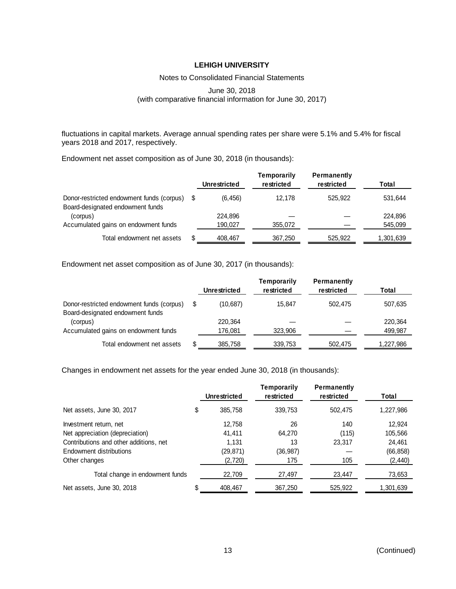#### Notes to Consolidated Financial Statements

### June 30, 2018 (with comparative financial information for June 30, 2017)

fluctuations in capital markets. Average annual spending rates per share were 5.1% and 5.4% for fiscal years 2018 and 2017, respectively.

Endowment net asset composition as of June 30, 2018 (in thousands):

|                                                                                  |   | Unrestricted | Temporarily<br>restricted | <b>Permanently</b><br>restricted | Total     |
|----------------------------------------------------------------------------------|---|--------------|---------------------------|----------------------------------|-----------|
| Donor-restricted endowment funds (corpus) \$<br>Board-designated endowment funds |   | (6, 456)     | 12.178                    | 525.922                          | 531,644   |
| (corpus)                                                                         |   | 224.896      |                           |                                  | 224,896   |
| Accumulated gains on endowment funds                                             |   | 190.027      | 355,072                   |                                  | 545,099   |
| Total endowment net assets                                                       | S | 408,467      | 367,250                   | 525,922                          | 1,301,639 |

Endowment net asset composition as of June 30, 2017 (in thousands):

|                                                                               |    | <b>Unrestricted</b> | Temporarily<br>restricted | Permanently<br>restricted | Total     |
|-------------------------------------------------------------------------------|----|---------------------|---------------------------|---------------------------|-----------|
| Donor-restricted endowment funds (corpus)<br>Board-designated endowment funds | S  | (10, 687)           | 15.847                    | 502.475                   | 507,635   |
| (corpus)                                                                      |    | 220.364             |                           |                           | 220.364   |
| Accumulated gains on endowment funds                                          |    | 176,081             | 323,906                   |                           | 499,987   |
| Total endowment net assets                                                    | \$ | 385,758             | 339,753                   | 502.475                   | 1,227,986 |

Changes in endowment net assets for the year ended June 30, 2018 (in thousands):

|                                        | Unrestricted  | Temporarily<br>restricted | Permanently<br>restricted | Total     |
|----------------------------------------|---------------|---------------------------|---------------------------|-----------|
| Net assets, June 30, 2017              | \$<br>385,758 | 339,753                   | 502,475                   | 1,227,986 |
| Investment return, net                 | 12,758        | 26                        | 140                       | 12,924    |
| Net appreciation (depreciation)        | 41.411        | 64.270                    | (115)                     | 105,566   |
| Contributions and other additions, net | 1.131         | 13                        | 23,317                    | 24,461    |
| Endowment distributions                | (29, 871)     | (36,987)                  |                           | (66, 858) |
| Other changes                          | (2,720)       | 175                       | 105                       | (2, 440)  |
| Total change in endowment funds        | 22,709        | 27,497                    | 23,447                    | 73,653    |
| Net assets, June 30, 2018              | \$<br>408,467 | 367,250                   | 525,922                   | 1,301,639 |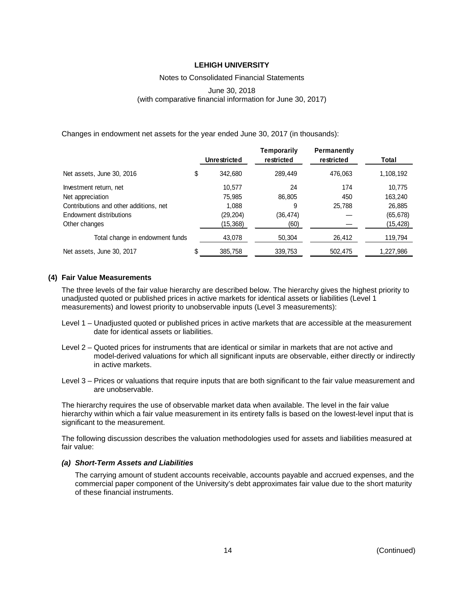#### Notes to Consolidated Financial Statements

### June 30, 2018 (with comparative financial information for June 30, 2017)

Changes in endowment net assets for the year ended June 30, 2017 (in thousands):

|                                        | Unrestricted  | Temporarily<br>restricted | <b>Permanently</b><br>restricted | Total     |
|----------------------------------------|---------------|---------------------------|----------------------------------|-----------|
| Net assets, June 30, 2016              | \$<br>342.680 | 289,449                   | 476,063                          | 1,108,192 |
| Investment return, net                 | 10.577        | 24                        | 174                              | 10,775    |
| Net appreciation                       | 75,985        | 86,805                    | 450                              | 163,240   |
| Contributions and other additions, net | 1.088         | 9                         | 25,788                           | 26,885    |
| Endowment distributions                | (29, 204)     | (36, 474)                 |                                  | (65, 678) |
| Other changes                          | (15,368)      | (60)                      |                                  | (15, 428) |
| Total change in endowment funds        | 43,078        | 50,304                    | 26,412                           | 119,794   |
| Net assets, June 30, 2017              | \$<br>385.758 | 339,753                   | 502,475                          | 1,227,986 |

### **(4) Fair Value Measurements**

The three levels of the fair value hierarchy are described below. The hierarchy gives the highest priority to unadjusted quoted or published prices in active markets for identical assets or liabilities (Level 1 measurements) and lowest priority to unobservable inputs (Level 3 measurements):

- Level 1 Unadjusted quoted or published prices in active markets that are accessible at the measurement date for identical assets or liabilities.
- Level 2 Quoted prices for instruments that are identical or similar in markets that are not active and model-derived valuations for which all significant inputs are observable, either directly or indirectly in active markets.
- Level 3 Prices or valuations that require inputs that are both significant to the fair value measurement and are unobservable.

The hierarchy requires the use of observable market data when available. The level in the fair value hierarchy within which a fair value measurement in its entirety falls is based on the lowest-level input that is significant to the measurement.

The following discussion describes the valuation methodologies used for assets and liabilities measured at fair value:

### *(a) Short-Term Assets and Liabilities*

The carrying amount of student accounts receivable, accounts payable and accrued expenses, and the commercial paper component of the University's debt approximates fair value due to the short maturity of these financial instruments.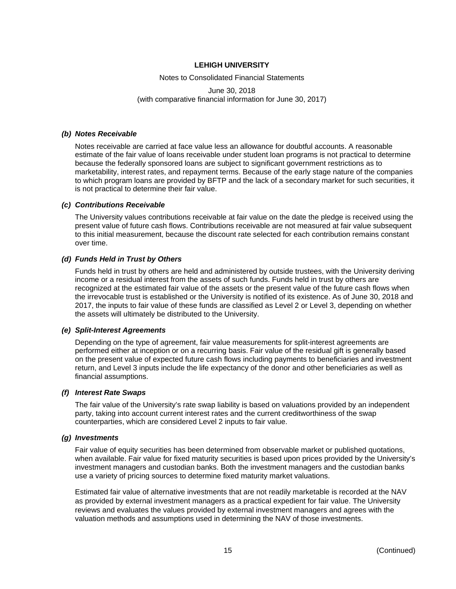Notes to Consolidated Financial Statements

June 30, 2018 (with comparative financial information for June 30, 2017)

#### *(b) Notes Receivable*

Notes receivable are carried at face value less an allowance for doubtful accounts. A reasonable estimate of the fair value of loans receivable under student loan programs is not practical to determine because the federally sponsored loans are subject to significant government restrictions as to marketability, interest rates, and repayment terms. Because of the early stage nature of the companies to which program loans are provided by BFTP and the lack of a secondary market for such securities, it is not practical to determine their fair value.

#### *(c) Contributions Receivable*

The University values contributions receivable at fair value on the date the pledge is received using the present value of future cash flows. Contributions receivable are not measured at fair value subsequent to this initial measurement, because the discount rate selected for each contribution remains constant over time.

#### *(d) Funds Held in Trust by Others*

Funds held in trust by others are held and administered by outside trustees, with the University deriving income or a residual interest from the assets of such funds. Funds held in trust by others are recognized at the estimated fair value of the assets or the present value of the future cash flows when the irrevocable trust is established or the University is notified of its existence. As of June 30, 2018 and 2017, the inputs to fair value of these funds are classified as Level 2 or Level 3, depending on whether the assets will ultimately be distributed to the University.

### *(e) Split-Interest Agreements*

Depending on the type of agreement, fair value measurements for split-interest agreements are performed either at inception or on a recurring basis. Fair value of the residual gift is generally based on the present value of expected future cash flows including payments to beneficiaries and investment return, and Level 3 inputs include the life expectancy of the donor and other beneficiaries as well as financial assumptions.

#### *(f) Interest Rate Swaps*

The fair value of the University's rate swap liability is based on valuations provided by an independent party, taking into account current interest rates and the current creditworthiness of the swap counterparties, which are considered Level 2 inputs to fair value.

#### *(g) Investments*

Fair value of equity securities has been determined from observable market or published quotations, when available. Fair value for fixed maturity securities is based upon prices provided by the University's investment managers and custodian banks. Both the investment managers and the custodian banks use a variety of pricing sources to determine fixed maturity market valuations.

Estimated fair value of alternative investments that are not readily marketable is recorded at the NAV as provided by external investment managers as a practical expedient for fair value. The University reviews and evaluates the values provided by external investment managers and agrees with the valuation methods and assumptions used in determining the NAV of those investments.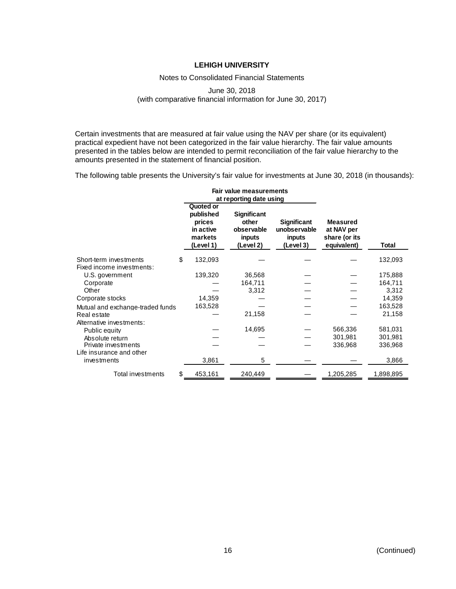### Notes to Consolidated Financial Statements

### June 30, 2018 (with comparative financial information for June 30, 2017)

Certain investments that are measured at fair value using the NAV per share (or its equivalent) practical expedient have not been categorized in the fair value hierarchy. The fair value amounts presented in the tables below are intended to permit reconciliation of the fair value hierarchy to the amounts presented in the statement of financial position.

The following table presents the University's fair value for investments at June 30, 2018 (in thousands):

|                                                           |                                                                       | <b>Fair value measurements</b><br>at reporting date using        |                                                    |                                                               |           |
|-----------------------------------------------------------|-----------------------------------------------------------------------|------------------------------------------------------------------|----------------------------------------------------|---------------------------------------------------------------|-----------|
|                                                           | Quoted or<br>published<br>prices<br>in active<br>markets<br>(Level 1) | <b>Significant</b><br>other<br>observable<br>inputs<br>(Level 2) | Significant<br>unobservable<br>inputs<br>(Level 3) | <b>Measured</b><br>at NAV per<br>share (or its<br>equivalent) | Total     |
| \$<br>Short-term investments<br>Fixed income investments: | 132,093                                                               |                                                                  |                                                    |                                                               | 132,093   |
| U.S. government                                           | 139,320                                                               | 36,568                                                           |                                                    |                                                               | 175,888   |
| Corporate                                                 |                                                                       | 164,711                                                          |                                                    |                                                               | 164,711   |
| Other                                                     |                                                                       | 3,312                                                            |                                                    |                                                               | 3,312     |
| Corporate stocks                                          | 14,359                                                                |                                                                  |                                                    |                                                               | 14,359    |
| Mutual and exchange-traded funds                          | 163,528                                                               |                                                                  |                                                    |                                                               | 163,528   |
| Real estate<br>Alternative investments:                   |                                                                       | 21,158                                                           |                                                    |                                                               | 21,158    |
| Public equity                                             |                                                                       | 14,695                                                           |                                                    | 566,336                                                       | 581,031   |
| Absolute return                                           |                                                                       |                                                                  |                                                    | 301,981                                                       | 301,981   |
| Private investments                                       |                                                                       |                                                                  |                                                    | 336,968                                                       | 336,968   |
| Life insurance and other                                  |                                                                       |                                                                  |                                                    |                                                               |           |
| investments                                               | 3,861                                                                 | 5                                                                |                                                    |                                                               | 3,866     |
| Total investments<br>\$                                   | 453,161                                                               | 240,449                                                          |                                                    | 1,205,285                                                     | 1,898,895 |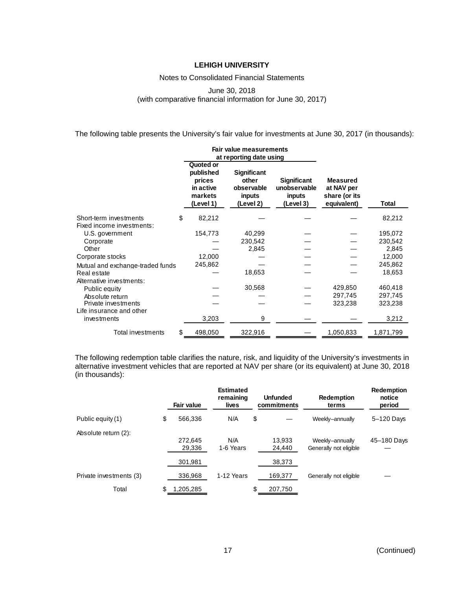Notes to Consolidated Financial Statements

### June 30, 2018 (with comparative financial information for June 30, 2017)

The following table presents the University's fair value for investments at June 30, 2017 (in thousands):

|                                                           |                                                                       | <b>Fair value measurements</b><br>at reporting date using |                                                    |                                                               |              |
|-----------------------------------------------------------|-----------------------------------------------------------------------|-----------------------------------------------------------|----------------------------------------------------|---------------------------------------------------------------|--------------|
|                                                           | Quoted or<br>published<br>prices<br>in active<br>markets<br>(Level 1) | Significant<br>other<br>observable<br>inputs<br>(Level 2) | Significant<br>unobservable<br>inputs<br>(Level 3) | <b>Measured</b><br>at NAV per<br>share (or its<br>equivalent) | <b>Total</b> |
| \$<br>Short-term investments<br>Fixed income investments: | 82,212                                                                |                                                           |                                                    |                                                               | 82,212       |
| U.S. government                                           | 154,773                                                               | 40,299                                                    |                                                    |                                                               | 195,072      |
| Corporate                                                 |                                                                       | 230,542                                                   |                                                    |                                                               | 230,542      |
| Other                                                     |                                                                       | 2,845                                                     |                                                    |                                                               | 2,845        |
| Corporate stocks                                          | 12,000                                                                |                                                           |                                                    |                                                               | 12,000       |
| Mutual and exchange-traded funds                          | 245,862                                                               |                                                           |                                                    |                                                               | 245,862      |
| Real estate                                               |                                                                       | 18,653                                                    |                                                    |                                                               | 18,653       |
| Alternative investments:                                  |                                                                       |                                                           |                                                    |                                                               |              |
| Public equity                                             |                                                                       | 30,568                                                    |                                                    | 429,850                                                       | 460,418      |
| Absolute return                                           |                                                                       |                                                           |                                                    | 297,745                                                       | 297,745      |
| Private investments                                       |                                                                       |                                                           |                                                    | 323,238                                                       | 323,238      |
| Life insurance and other                                  |                                                                       |                                                           |                                                    |                                                               |              |
| investments                                               | 3,203                                                                 | 9                                                         |                                                    |                                                               | 3,212        |
| Total investments<br>S                                    | 498,050                                                               | 322,916                                                   |                                                    | 1,050,833                                                     | 1,871,799    |

The following redemption table clarifies the nature, risk, and liquidity of the University's investments in alternative investment vehicles that are reported at NAV per share (or its equivalent) at June 30, 2018 (in thousands):

|                         |    | <b>Fair value</b> | <b>Estimated</b><br>remaining<br>lives | <b>Unfunded</b><br>commitments | <b>Redemption</b><br>terms                | <b>Redemption</b><br>notice<br>period |
|-------------------------|----|-------------------|----------------------------------------|--------------------------------|-------------------------------------------|---------------------------------------|
| Public equity (1)       | \$ | 566.336           | N/A                                    | \$                             | Weekly-annually                           | 5-120 Days                            |
| Absolute return (2):    |    | 272.645<br>29,336 | N/A<br>1-6 Years                       | 13.933<br>24,440               | Weekly-annually<br>Generally not eligible | 45-180 Days                           |
|                         |    | 301,981           |                                        | 38,373                         |                                           |                                       |
| Private investments (3) |    | 336,968           | 1-12 Years                             | 169,377                        | Generally not eligible                    |                                       |
| Total                   | S  | .205,285          |                                        | \$<br>207,750                  |                                           |                                       |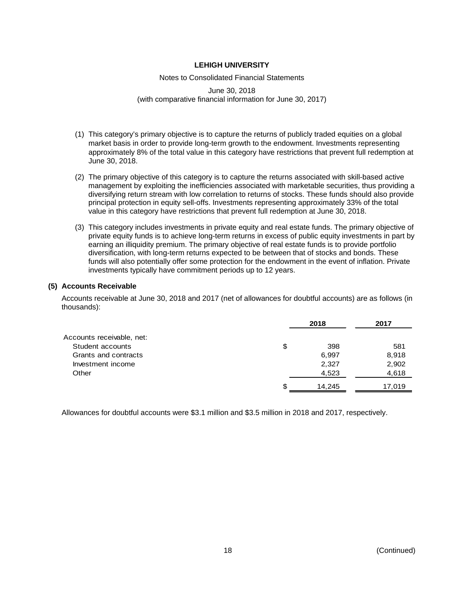### Notes to Consolidated Financial Statements

### June 30, 2018 (with comparative financial information for June 30, 2017)

- (1) This category's primary objective is to capture the returns of publicly traded equities on a global market basis in order to provide long-term growth to the endowment. Investments representing approximately 8% of the total value in this category have restrictions that prevent full redemption at June 30, 2018.
- (2) The primary objective of this category is to capture the returns associated with skill-based active management by exploiting the inefficiencies associated with marketable securities, thus providing a diversifying return stream with low correlation to returns of stocks. These funds should also provide principal protection in equity sell-offs. Investments representing approximately 33% of the total value in this category have restrictions that prevent full redemption at June 30, 2018.
- (3) This category includes investments in private equity and real estate funds. The primary objective of private equity funds is to achieve long-term returns in excess of public equity investments in part by earning an illiquidity premium. The primary objective of real estate funds is to provide portfolio diversification, with long-term returns expected to be between that of stocks and bonds. These funds will also potentially offer some protection for the endowment in the event of inflation. Private investments typically have commitment periods up to 12 years.

### **(5) Accounts Receivable**

Accounts receivable at June 30, 2018 and 2017 (net of allowances for doubtful accounts) are as follows (in thousands):

|                           | 2018 |        | 2017   |  |
|---------------------------|------|--------|--------|--|
| Accounts receivable, net: |      |        |        |  |
| Student accounts          | \$   | 398    | 581    |  |
| Grants and contracts      |      | 6,997  | 8,918  |  |
| Investment income         |      | 2,327  | 2,902  |  |
| Other                     |      | 4,523  | 4,618  |  |
|                           | \$   | 14.245 | 17.019 |  |

Allowances for doubtful accounts were \$3.1 million and \$3.5 million in 2018 and 2017, respectively.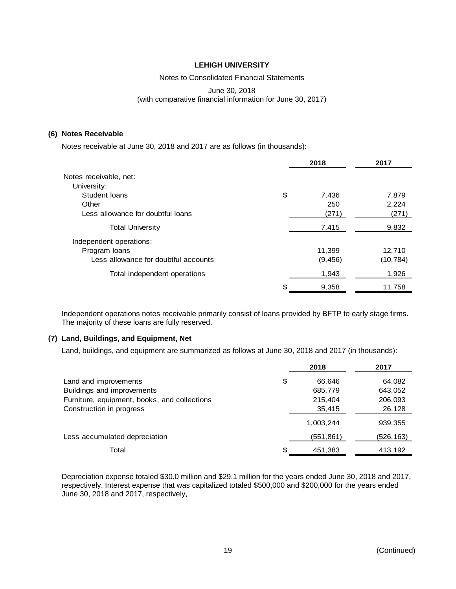Notes to Consolidated Financial Statements

June 30, 2018 (with comparative financial information for June 30, 2017)

### **(6) Notes Receivable**

Notes receivable at June 30, 2018 and 2017 are as follows (in thousands):

|                                      | 2018        | 2017      |
|--------------------------------------|-------------|-----------|
| Notes receivable, net:               |             |           |
| University:                          |             |           |
| Student Ioans                        | \$<br>7,436 | 7,879     |
| Other                                | 250         | 2,224     |
| Less allowance for doubtful loans    | (271)       | (271)     |
| <b>Total University</b>              | 7,415       | 9,832     |
| Independent operations:              |             |           |
| Program Ioans                        | 11,399      | 12,710    |
| Less allowance for doubtful accounts | (9, 456)    | (10, 784) |
| Total independent operations         | 1,943       | 1,926     |
|                                      | 9,358       | 11,758    |

Independent operations notes receivable primarily consist of loans provided by BFTP to early stage firms. The majority of these loans are fully reserved.

### **(7) Land, Buildings, and Equipment, Net**

Land, buildings, and equipment are summarized as follows at June 30, 2018 and 2017 (in thousands):

|                                              |     | 2018      | 2017       |
|----------------------------------------------|-----|-----------|------------|
| Land and improvements                        | \$  | 66,646    | 64,082     |
| Buildings and improvements                   |     | 685,779   | 643,052    |
| Furniture, equipment, books, and collections |     | 215,404   | 206,093    |
| Construction in progress                     |     | 35,415    | 26,128     |
|                                              |     | 1,003,244 | 939,355    |
| Less accumulated depreciation                |     | (551,861) | (526, 163) |
| Total                                        | \$. | 451,383   | 413,192    |

Depreciation expense totaled \$30.0 million and \$29.1 million for the years ended June 30, 2018 and 2017, respectively. Interest expense that was capitalized totaled \$500,000 and \$200,000 for the years ended June 30, 2018 and 2017, respectively,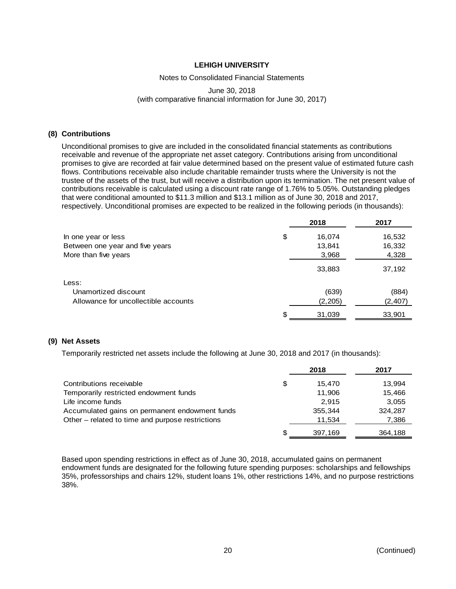#### Notes to Consolidated Financial Statements

### June 30, 2018 (with comparative financial information for June 30, 2017)

#### **(8) Contributions**

Unconditional promises to give are included in the consolidated financial statements as contributions receivable and revenue of the appropriate net asset category. Contributions arising from unconditional promises to give are recorded at fair value determined based on the present value of estimated future cash flows. Contributions receivable also include charitable remainder trusts where the University is not the trustee of the assets of the trust, but will receive a distribution upon its termination. The net present value of contributions receivable is calculated using a discount rate range of 1.76% to 5.05%. Outstanding pledges that were conditional amounted to \$11.3 million and \$13.1 million as of June 30, 2018 and 2017, respectively. Unconditional promises are expected to be realized in the following periods (in thousands):

|                                      | 2018         | 2017     |
|--------------------------------------|--------------|----------|
| In one year or less                  | \$<br>16,074 | 16,532   |
| Between one year and five years      | 13,841       | 16,332   |
| More than five years                 | 3,968        | 4,328    |
|                                      | 33,883       | 37,192   |
| Less:                                |              |          |
| Unamortized discount                 | (639)        | (884)    |
| Allowance for uncollectible accounts | (2, 205)     | (2, 407) |
|                                      | 31,039       | 33,901   |

#### **(9) Net Assets**

Temporarily restricted net assets include the following at June 30, 2018 and 2017 (in thousands):

|                                                  |   | 2018    | 2017    |
|--------------------------------------------------|---|---------|---------|
| Contributions receivable                         | S | 15.470  | 13.994  |
| Temporarily restricted endowment funds           |   | 11.906  | 15,466  |
| Life income funds                                |   | 2.915   | 3,055   |
| Accumulated gains on permanent endowment funds   |   | 355,344 | 324,287 |
| Other – related to time and purpose restrictions |   | 11,534  | 7,386   |
|                                                  | S | 397.169 | 364.188 |

Based upon spending restrictions in effect as of June 30, 2018, accumulated gains on permanent endowment funds are designated for the following future spending purposes: scholarships and fellowships 35%, professorships and chairs 12%, student loans 1%, other restrictions 14%, and no purpose restrictions 38%.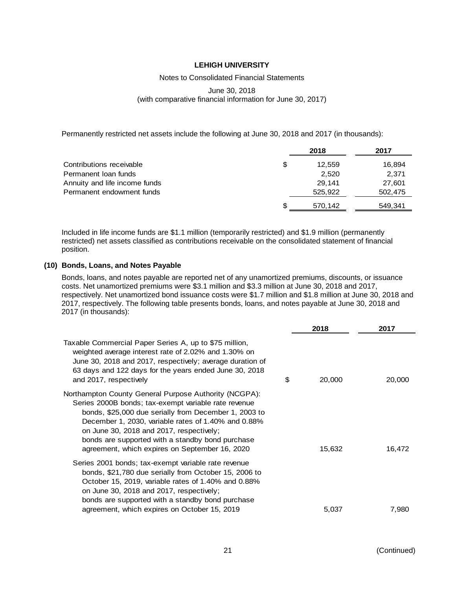Notes to Consolidated Financial Statements

June 30, 2018 (with comparative financial information for June 30, 2017)

Permanently restricted net assets include the following at June 30, 2018 and 2017 (in thousands):

|                               |    | 2018    | 2017    |  |
|-------------------------------|----|---------|---------|--|
| Contributions receivable      | \$ | 12.559  | 16,894  |  |
| Permanent Ioan funds          |    | 2.520   | 2,371   |  |
| Annuity and life income funds |    | 29.141  | 27.601  |  |
| Permanent endowment funds     |    | 525,922 | 502,475 |  |
|                               | S  | 570,142 | 549.341 |  |

Included in life income funds are \$1.1 million (temporarily restricted) and \$1.9 million (permanently restricted) net assets classified as contributions receivable on the consolidated statement of financial position.

### **(10) Bonds, Loans, and Notes Payable**

Bonds, loans, and notes payable are reported net of any unamortized premiums, discounts, or issuance costs. Net unamortized premiums were \$3.1 million and \$3.3 million at June 30, 2018 and 2017, respectively. Net unamortized bond issuance costs were \$1.7 million and \$1.8 million at June 30, 2018 and 2017, respectively. The following table presents bonds, loans, and notes payable at June 30, 2018 and 2017 (in thousands):

|                                                                                                                                                                                                                                                                                                                                                                                 | 2018         | 2017   |
|---------------------------------------------------------------------------------------------------------------------------------------------------------------------------------------------------------------------------------------------------------------------------------------------------------------------------------------------------------------------------------|--------------|--------|
| Taxable Commercial Paper Series A, up to \$75 million,<br>weighted average interest rate of 2.02% and 1.30% on<br>June 30, 2018 and 2017, respectively; average duration of<br>63 days and 122 days for the years ended June 30, 2018<br>and 2017, respectively                                                                                                                 | \$<br>20,000 | 20,000 |
| Northampton County General Purpose Authority (NCGPA):<br>Series 2000B bonds; tax-exempt variable rate revenue<br>bonds, \$25,000 due serially from December 1, 2003 to<br>December 1, 2030, variable rates of 1.40% and 0.88%<br>on June 30, 2018 and 2017, respectively;<br>bonds are supported with a standby bond purchase<br>agreement, which expires on September 16, 2020 | 15,632       | 16,472 |
| Series 2001 bonds; tax-exempt variable rate revenue<br>bonds, \$21,780 due serially from October 15, 2006 to<br>October 15, 2019, variable rates of 1.40% and 0.88%<br>on June 30, 2018 and 2017, respectively;<br>bonds are supported with a standby bond purchase<br>agreement, which expires on October 15, 2019                                                             | 5,037        | 7.980  |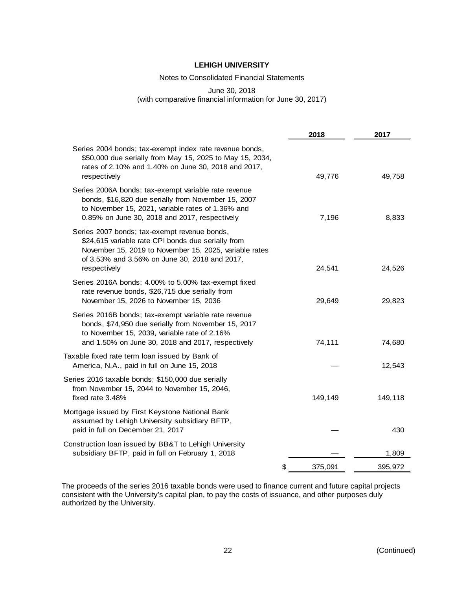### Notes to Consolidated Financial Statements

# June 30, 2018

| (with comparative financial information for June 30, 2017) |  |
|------------------------------------------------------------|--|
|                                                            |  |

|                                                                                                                                                                                                                               | 2018    | 2017    |
|-------------------------------------------------------------------------------------------------------------------------------------------------------------------------------------------------------------------------------|---------|---------|
| Series 2004 bonds; tax-exempt index rate revenue bonds,<br>\$50,000 due serially from May 15, 2025 to May 15, 2034,<br>rates of 2.10% and 1.40% on June 30, 2018 and 2017,<br>respectively                                    | 49,776  | 49,758  |
| Series 2006A bonds; tax-exempt variable rate revenue<br>bonds, \$16,820 due serially from November 15, 2007<br>to November 15, 2021, variable rates of 1.36% and<br>0.85% on June 30, 2018 and 2017, respectively             | 7,196   | 8,833   |
| Series 2007 bonds; tax-exempt revenue bonds,<br>\$24,615 variable rate CPI bonds due serially from<br>November 15, 2019 to November 15, 2025, variable rates<br>of 3.53% and 3.56% on June 30, 2018 and 2017,<br>respectively | 24,541  | 24,526  |
| Series 2016A bonds; 4.00% to 5.00% tax-exempt fixed<br>rate revenue bonds, \$26,715 due serially from<br>November 15, 2026 to November 15, 2036                                                                               | 29,649  | 29,823  |
| Series 2016B bonds; tax-exempt variable rate revenue<br>bonds, \$74,950 due serially from November 15, 2017<br>to November 15, 2039, variable rate of 2.16%<br>and 1.50% on June 30, 2018 and 2017, respectively              | 74,111  | 74,680  |
| Taxable fixed rate term loan issued by Bank of<br>America, N.A., paid in full on June 15, 2018                                                                                                                                |         | 12,543  |
| Series 2016 taxable bonds; \$150,000 due serially<br>from November 15, 2044 to November 15, 2046,<br>fixed rate 3.48%                                                                                                         | 149,149 | 149,118 |
| Mortgage issued by First Keystone National Bank<br>assumed by Lehigh University subsidiary BFTP,<br>paid in full on December 21, 2017                                                                                         |         | 430     |
| Construction loan issued by BB&T to Lehigh University<br>subsidiary BFTP, paid in full on February 1, 2018                                                                                                                    |         | 1,809   |
| \$                                                                                                                                                                                                                            | 375,091 | 395,972 |

The proceeds of the series 2016 taxable bonds were used to finance current and future capital projects consistent with the University's capital plan, to pay the costs of issuance, and other purposes duly authorized by the University.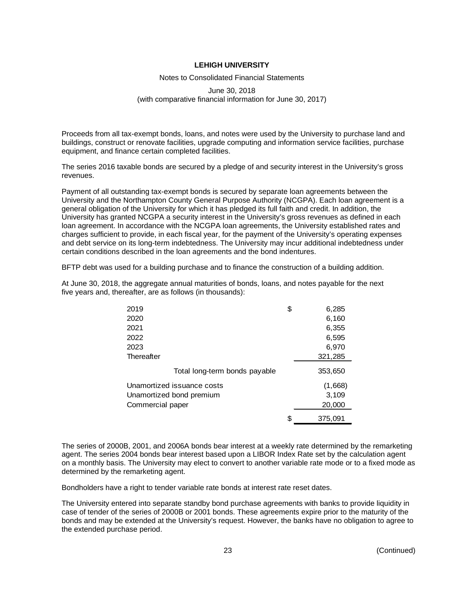### Notes to Consolidated Financial Statements

### June 30, 2018 (with comparative financial information for June 30, 2017)

Proceeds from all tax-exempt bonds, loans, and notes were used by the University to purchase land and buildings, construct or renovate facilities, upgrade computing and information service facilities, purchase equipment, and finance certain completed facilities.

The series 2016 taxable bonds are secured by a pledge of and security interest in the University's gross revenues.

Payment of all outstanding tax-exempt bonds is secured by separate loan agreements between the University and the Northampton County General Purpose Authority (NCGPA). Each loan agreement is a general obligation of the University for which it has pledged its full faith and credit. In addition, the University has granted NCGPA a security interest in the University's gross revenues as defined in each loan agreement. In accordance with the NCGPA loan agreements, the University established rates and charges sufficient to provide, in each fiscal year, for the payment of the University's operating expenses and debt service on its long-term indebtedness. The University may incur additional indebtedness under certain conditions described in the loan agreements and the bond indentures.

BFTP debt was used for a building purchase and to finance the construction of a building addition.

At June 30, 2018, the aggregate annual maturities of bonds, loans, and notes payable for the next five years and, thereafter, are as follows (in thousands):

| 2019                          | \$ | 6,285   |
|-------------------------------|----|---------|
| 2020                          |    | 6,160   |
| 2021                          |    | 6,355   |
| 2022                          |    | 6,595   |
| 2023                          |    | 6,970   |
| Thereafter                    |    | 321,285 |
| Total long-term bonds payable |    | 353,650 |
| Unamortized issuance costs    |    | (1,668) |
| Unamortized bond premium      |    | 3,109   |
| Commercial paper              |    | 20,000  |
|                               | S  | 375.091 |

The series of 2000B, 2001, and 2006A bonds bear interest at a weekly rate determined by the remarketing agent. The series 2004 bonds bear interest based upon a LIBOR Index Rate set by the calculation agent on a monthly basis. The University may elect to convert to another variable rate mode or to a fixed mode as determined by the remarketing agent.

Bondholders have a right to tender variable rate bonds at interest rate reset dates.

The University entered into separate standby bond purchase agreements with banks to provide liquidity in case of tender of the series of 2000B or 2001 bonds. These agreements expire prior to the maturity of the bonds and may be extended at the University's request. However, the banks have no obligation to agree to the extended purchase period.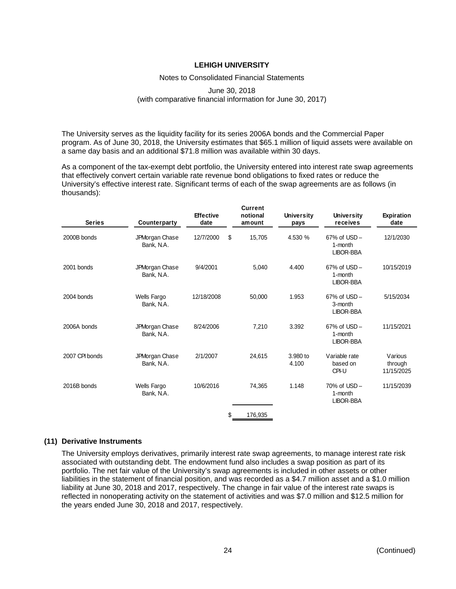#### Notes to Consolidated Financial Statements

### June 30, 2018 (with comparative financial information for June 30, 2017)

The University serves as the liquidity facility for its series 2006A bonds and the Commercial Paper program. As of June 30, 2018, the University estimates that \$65.1 million of liquid assets were available on a same day basis and an additional \$71.8 million was available within 30 days.

As a component of the tax-exempt debt portfolio, the University entered into interest rate swap agreements that effectively convert certain variable rate revenue bond obligations to fixed rates or reduce the University's effective interest rate. Significant terms of each of the swap agreements are as follows (in thousands):

| <b>Series</b>  | Counterparty                 | <b>Effective</b><br>date | Current<br>notional<br>amount | <b>University</b><br>pays | <b>University</b><br>receives                    | <b>Expiration</b><br>date        |
|----------------|------------------------------|--------------------------|-------------------------------|---------------------------|--------------------------------------------------|----------------------------------|
| 2000B bonds    | JPMorgan Chase<br>Bank, N.A. | 12/7/2000                | \$<br>15,705                  | 4.530 %                   | $67\%$ of USD $-$<br>1-month<br><b>LIBOR-BBA</b> | 12/1/2030                        |
| 2001 bonds     | JPMorgan Chase<br>Bank, N.A. | 9/4/2001                 | 5,040                         | 4.400                     | 67% of USD-<br>1-month<br>LIBOR-BBA              | 10/15/2019                       |
| 2004 bonds     | Wells Fargo<br>Bank, N.A.    | 12/18/2008               | 50,000                        | 1.953                     | 67% of USD-<br>3-month<br><b>LIBOR-BBA</b>       | 5/15/2034                        |
| 2006A bonds    | JPMorgan Chase<br>Bank, N.A. | 8/24/2006                | 7,210                         | 3.392                     | 67% of USD-<br>1-month<br><b>LIBOR-BBA</b>       | 11/15/2021                       |
| 2007 CPI bonds | JPMorgan Chase<br>Bank, N.A. | 2/1/2007                 | 24,615                        | 3.980 to<br>4.100         | Variable rate<br>based on<br>CPI-U               | Various<br>through<br>11/15/2025 |
| 2016B bonds    | Wells Fargo<br>Bank, N.A.    | 10/6/2016                | 74,365                        | 1.148                     | 70% of USD-<br>1-month<br><b>LIBOR-BBA</b>       | 11/15/2039                       |
|                |                              |                          | \$<br>176,935                 |                           |                                                  |                                  |

#### **(11) Derivative Instruments**

The University employs derivatives, primarily interest rate swap agreements, to manage interest rate risk associated with outstanding debt. The endowment fund also includes a swap position as part of its portfolio. The net fair value of the University's swap agreements is included in other assets or other liabilities in the statement of financial position, and was recorded as a \$4.7 million asset and a \$1.0 million liability at June 30, 2018 and 2017, respectively. The change in fair value of the interest rate swaps is reflected in nonoperating activity on the statement of activities and was \$7.0 million and \$12.5 million for the years ended June 30, 2018 and 2017, respectively.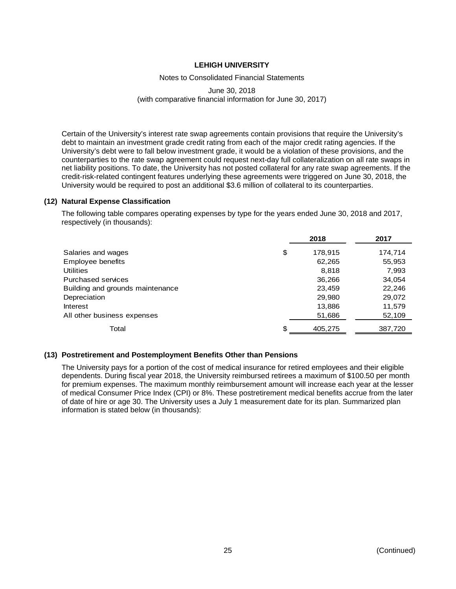### Notes to Consolidated Financial Statements

June 30, 2018 (with comparative financial information for June 30, 2017)

Certain of the University's interest rate swap agreements contain provisions that require the University's debt to maintain an investment grade credit rating from each of the major credit rating agencies. If the University's debt were to fall below investment grade, it would be a violation of these provisions, and the counterparties to the rate swap agreement could request next-day full collateralization on all rate swaps in net liability positions. To date, the University has not posted collateral for any rate swap agreements. If the credit-risk-related contingent features underlying these agreements were triggered on June 30, 2018, the University would be required to post an additional \$3.6 million of collateral to its counterparties.

#### **(12) Natural Expense Classification**

The following table compares operating expenses by type for the years ended June 30, 2018 and 2017, respectively (in thousands):

|                                  | 2018          | 2017    |
|----------------------------------|---------------|---------|
| Salaries and wages               | \$<br>178,915 | 174,714 |
| Employee benefits                | 62,265        | 55,953  |
| <b>Utilities</b>                 | 8.818         | 7,993   |
| Purchased services               | 36,266        | 34,054  |
| Building and grounds maintenance | 23,459        | 22,246  |
| Depreciation                     | 29,980        | 29,072  |
| Interest                         | 13,886        | 11,579  |
| All other business expenses      | 51,686        | 52,109  |
| Total                            | \$<br>405,275 | 387,720 |

### **(13) Postretirement and Postemployment Benefits Other than Pensions**

The University pays for a portion of the cost of medical insurance for retired employees and their eligible dependents. During fiscal year 2018, the University reimbursed retirees a maximum of \$100.50 per month for premium expenses. The maximum monthly reimbursement amount will increase each year at the lesser of medical Consumer Price Index (CPI) or 8%. These postretirement medical benefits accrue from the later of date of hire or age 30. The University uses a July 1 measurement date for its plan. Summarized plan information is stated below (in thousands):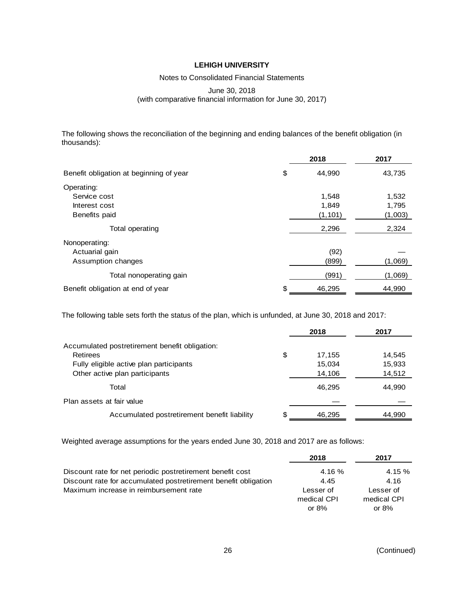Notes to Consolidated Financial Statements

June 30, 2018

(with comparative financial information for June 30, 2017)

The following shows the reconciliation of the beginning and ending balances of the benefit obligation (in thousands):

|                                                       | 2018              | 2017             |
|-------------------------------------------------------|-------------------|------------------|
| Benefit obligation at beginning of year               | \$<br>44,990      | 43,735           |
| Operating:<br>Service cost                            | 1,548             | 1,532            |
| Interest cost<br>Benefits paid                        | 1,849<br>(1, 101) | 1,795<br>(1,003) |
| Total operating                                       | 2,296             | 2,324            |
| Nonoperating:<br>Actuarial gain<br>Assumption changes | (92)<br>(899)     | (1,069)          |
| Total nonoperating gain                               | (991)             | (1,069)          |
| Benefit obligation at end of year                     | \$<br>46,295      | 44,990           |

The following table sets forth the status of the plan, which is unfunded, at June 30, 2018 and 2017:

|                                                | 2018         | 2017   |
|------------------------------------------------|--------------|--------|
| Accumulated postretirement benefit obligation: |              |        |
| Retirees                                       | \$<br>17,155 | 14.545 |
| Fully eligible active plan participants        | 15,034       | 15,933 |
| Other active plan participants                 | 14,106       | 14,512 |
| Total                                          | 46.295       | 44,990 |
| Plan assets at fair value                      |              |        |
| Accumulated postretirement benefit liability   | 46,295       | 44,990 |

Weighted average assumptions for the years ended June 30, 2018 and 2017 are as follows:

|                                                                 | 2018        | 2017        |
|-----------------------------------------------------------------|-------------|-------------|
| Discount rate for net periodic postretirement benefit cost      | 4.16 %      | 4.15%       |
| Discount rate for accumulated postretirement benefit obligation | 4.45        | 4.16        |
| Maximum increase in reimbursement rate                          | Lesser of   | Lesser of   |
|                                                                 | medical CPI | medical CPI |
|                                                                 | or $8%$     | or $8%$     |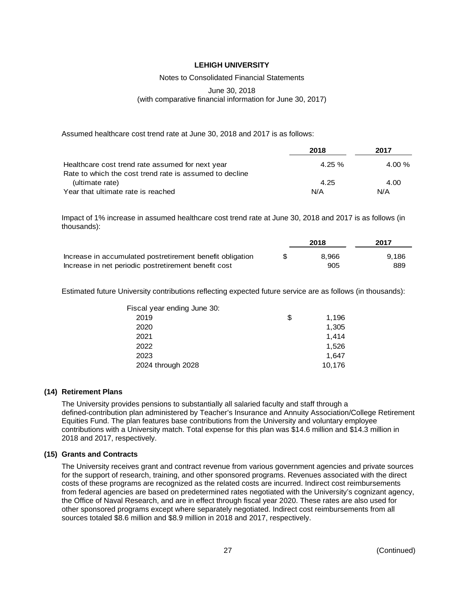### Notes to Consolidated Financial Statements

### June 30, 2018 (with comparative financial information for June 30, 2017)

Assumed healthcare cost trend rate at June 30, 2018 and 2017 is as follows:

|                                                         | 2018      | 2017   |  |
|---------------------------------------------------------|-----------|--------|--|
| Healthcare cost trend rate assumed for next year        | $4.25 \%$ | 4.00 % |  |
| Rate to which the cost trend rate is assumed to decline |           |        |  |
| (ultimate rate)                                         | 4.25      | 4.00   |  |
| Year that ultimate rate is reached                      | N/A       | N/A    |  |

Impact of 1% increase in assumed healthcare cost trend rate at June 30, 2018 and 2017 is as follows (in thousands):

|                                                           | 2018 |       | 2017  |  |
|-----------------------------------------------------------|------|-------|-------|--|
| Increase in accumulated postretirement benefit obligation | \$.  | 8.966 | 9.186 |  |
| Increase in net periodic postretirement benefit cost      |      | 905   | 889   |  |

Estimated future University contributions reflecting expected future service are as follows (in thousands):

| Fiscal year ending June 30: |   |        |
|-----------------------------|---|--------|
| 2019                        | S | 1,196  |
| 2020                        |   | 1,305  |
| 2021                        |   | 1.414  |
| 2022                        |   | 1.526  |
| 2023                        |   | 1.647  |
| 2024 through 2028           |   | 10,176 |
|                             |   |        |

### **(14) Retirement Plans**

The University provides pensions to substantially all salaried faculty and staff through a defined-contribution plan administered by Teacher's Insurance and Annuity Association/College Retirement Equities Fund. The plan features base contributions from the University and voluntary employee contributions with a University match. Total expense for this plan was \$14.6 million and \$14.3 million in 2018 and 2017, respectively.

### **(15) Grants and Contracts**

The University receives grant and contract revenue from various government agencies and private sources for the support of research, training, and other sponsored programs. Revenues associated with the direct costs of these programs are recognized as the related costs are incurred. Indirect cost reimbursements from federal agencies are based on predetermined rates negotiated with the University's cognizant agency, the Office of Naval Research, and are in effect through fiscal year 2020. These rates are also used for other sponsored programs except where separately negotiated. Indirect cost reimbursements from all sources totaled \$8.6 million and \$8.9 million in 2018 and 2017, respectively.